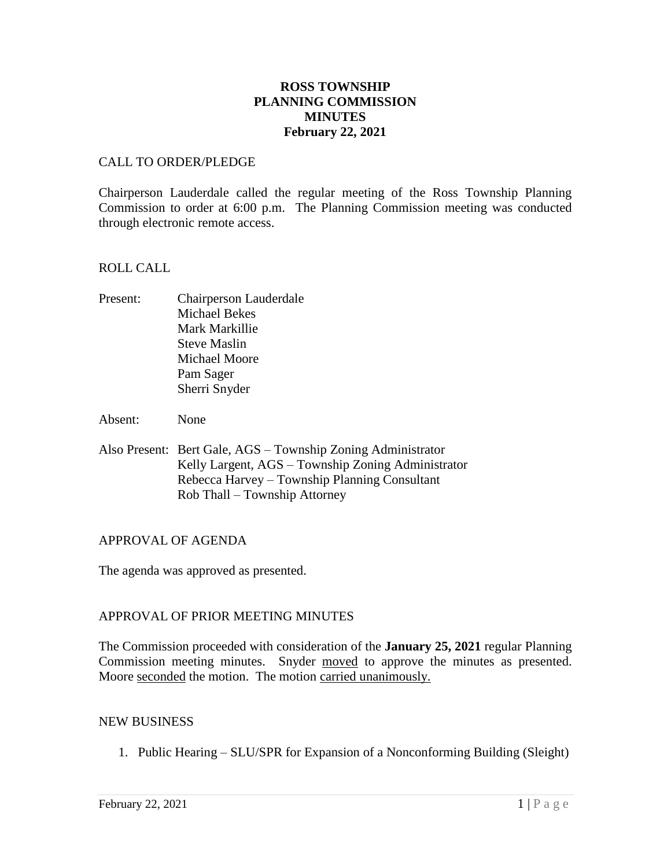# **ROSS TOWNSHIP PLANNING COMMISSION MINUTES February 22, 2021**

### CALL TO ORDER/PLEDGE

Chairperson Lauderdale called the regular meeting of the Ross Township Planning Commission to order at 6:00 p.m. The Planning Commission meeting was conducted through electronic remote access.

### ROLL CALL

Present: Chairperson Lauderdale Michael Bekes Mark Markillie Steve Maslin Michael Moore Pam Sager Sherri Snyder

Absent: None

Also Present: Bert Gale, AGS – Township Zoning Administrator Kelly Largent, AGS – Township Zoning Administrator Rebecca Harvey – Township Planning Consultant Rob Thall – Township Attorney

# APPROVAL OF AGENDA

The agenda was approved as presented.

# APPROVAL OF PRIOR MEETING MINUTES

The Commission proceeded with consideration of the **January 25, 2021** regular Planning Commission meeting minutes. Snyder moved to approve the minutes as presented. Moore seconded the motion. The motion carried unanimously.

#### NEW BUSINESS

1. Public Hearing – SLU/SPR for Expansion of a Nonconforming Building (Sleight)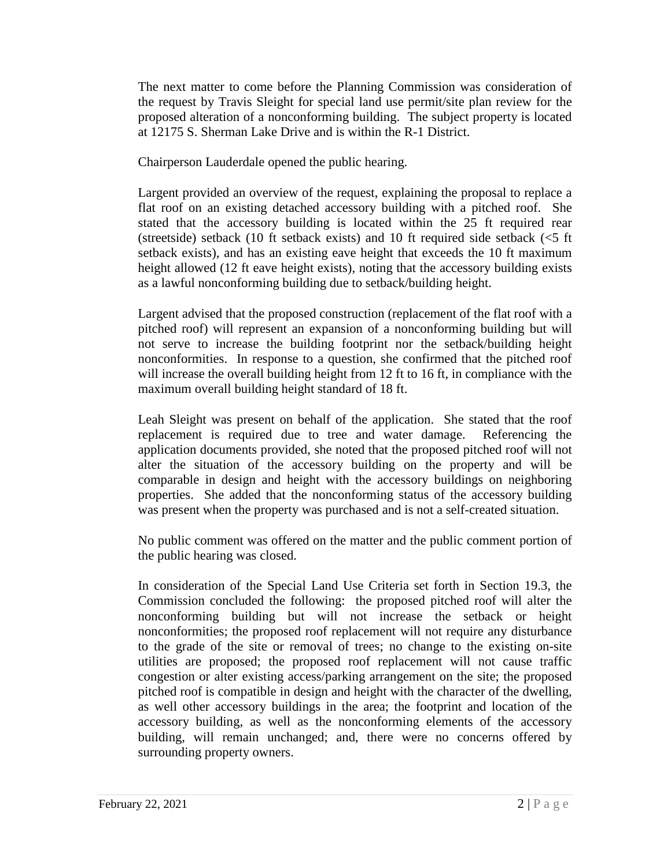The next matter to come before the Planning Commission was consideration of the request by Travis Sleight for special land use permit/site plan review for the proposed alteration of a nonconforming building. The subject property is located at 12175 S. Sherman Lake Drive and is within the R-1 District.

Chairperson Lauderdale opened the public hearing.

Largent provided an overview of the request, explaining the proposal to replace a flat roof on an existing detached accessory building with a pitched roof. She stated that the accessory building is located within the 25 ft required rear (streetside) setback (10 ft setback exists) and 10 ft required side setback (<5 ft setback exists), and has an existing eave height that exceeds the 10 ft maximum height allowed (12 ft eave height exists), noting that the accessory building exists as a lawful nonconforming building due to setback/building height.

Largent advised that the proposed construction (replacement of the flat roof with a pitched roof) will represent an expansion of a nonconforming building but will not serve to increase the building footprint nor the setback/building height nonconformities. In response to a question, she confirmed that the pitched roof will increase the overall building height from 12 ft to 16 ft, in compliance with the maximum overall building height standard of 18 ft.

Leah Sleight was present on behalf of the application. She stated that the roof replacement is required due to tree and water damage. Referencing the application documents provided, she noted that the proposed pitched roof will not alter the situation of the accessory building on the property and will be comparable in design and height with the accessory buildings on neighboring properties. She added that the nonconforming status of the accessory building was present when the property was purchased and is not a self-created situation.

No public comment was offered on the matter and the public comment portion of the public hearing was closed.

In consideration of the Special Land Use Criteria set forth in Section 19.3, the Commission concluded the following: the proposed pitched roof will alter the nonconforming building but will not increase the setback or height nonconformities; the proposed roof replacement will not require any disturbance to the grade of the site or removal of trees; no change to the existing on-site utilities are proposed; the proposed roof replacement will not cause traffic congestion or alter existing access/parking arrangement on the site; the proposed pitched roof is compatible in design and height with the character of the dwelling, as well other accessory buildings in the area; the footprint and location of the accessory building, as well as the nonconforming elements of the accessory building, will remain unchanged; and, there were no concerns offered by surrounding property owners.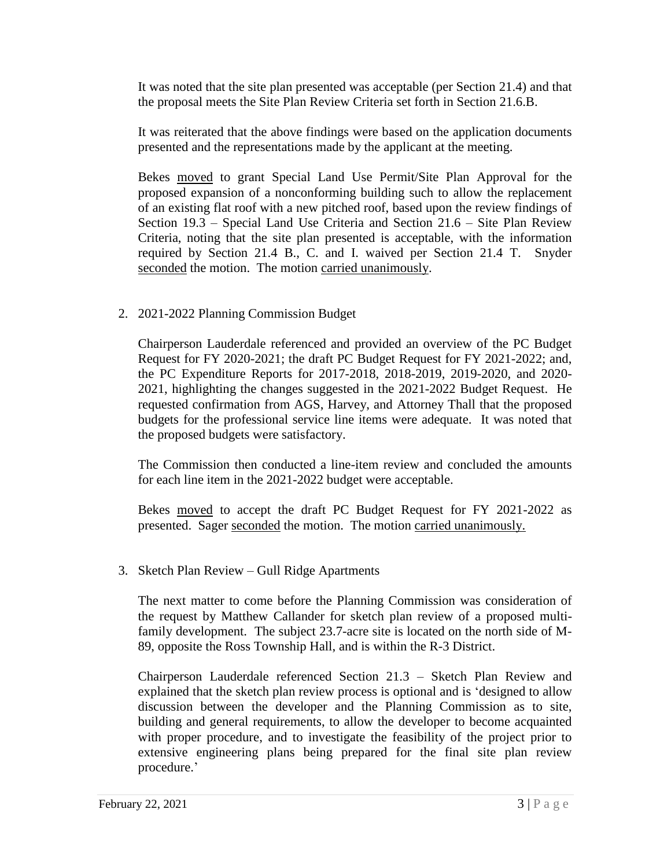It was noted that the site plan presented was acceptable (per Section 21.4) and that the proposal meets the Site Plan Review Criteria set forth in Section 21.6.B.

It was reiterated that the above findings were based on the application documents presented and the representations made by the applicant at the meeting.

Bekes moved to grant Special Land Use Permit/Site Plan Approval for the proposed expansion of a nonconforming building such to allow the replacement of an existing flat roof with a new pitched roof, based upon the review findings of Section 19.3 – Special Land Use Criteria and Section 21.6 – Site Plan Review Criteria, noting that the site plan presented is acceptable, with the information required by Section 21.4 B., C. and I. waived per Section 21.4 T. Snyder seconded the motion. The motion carried unanimously.

# 2. 2021-2022 Planning Commission Budget

Chairperson Lauderdale referenced and provided an overview of the PC Budget Request for FY 2020-2021; the draft PC Budget Request for FY 2021-2022; and, the PC Expenditure Reports for 2017-2018, 2018-2019, 2019-2020, and 2020- 2021, highlighting the changes suggested in the 2021-2022 Budget Request. He requested confirmation from AGS, Harvey, and Attorney Thall that the proposed budgets for the professional service line items were adequate. It was noted that the proposed budgets were satisfactory.

The Commission then conducted a line-item review and concluded the amounts for each line item in the 2021-2022 budget were acceptable.

Bekes moved to accept the draft PC Budget Request for FY 2021-2022 as presented. Sager seconded the motion. The motion carried unanimously.

# 3. Sketch Plan Review – Gull Ridge Apartments

The next matter to come before the Planning Commission was consideration of the request by Matthew Callander for sketch plan review of a proposed multifamily development. The subject 23.7-acre site is located on the north side of M-89, opposite the Ross Township Hall, and is within the R-3 District.

Chairperson Lauderdale referenced Section 21.3 – Sketch Plan Review and explained that the sketch plan review process is optional and is 'designed to allow discussion between the developer and the Planning Commission as to site, building and general requirements, to allow the developer to become acquainted with proper procedure, and to investigate the feasibility of the project prior to extensive engineering plans being prepared for the final site plan review procedure.'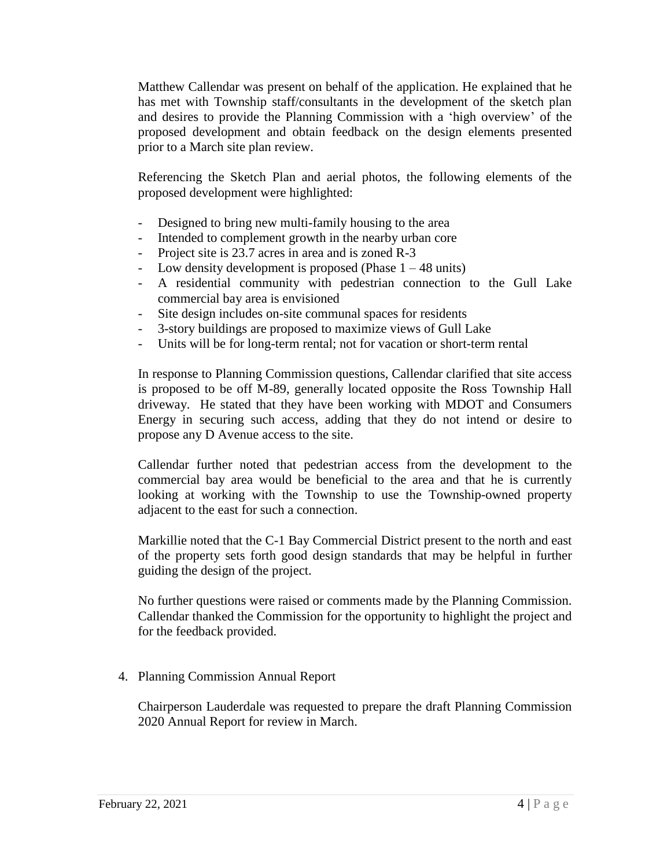Matthew Callendar was present on behalf of the application. He explained that he has met with Township staff/consultants in the development of the sketch plan and desires to provide the Planning Commission with a 'high overview' of the proposed development and obtain feedback on the design elements presented prior to a March site plan review.

Referencing the Sketch Plan and aerial photos, the following elements of the proposed development were highlighted:

- Designed to bring new multi-family housing to the area
- Intended to complement growth in the nearby urban core
- Project site is 23.7 acres in area and is zoned R-3
- Low density development is proposed (Phase  $1 48$  units)
- A residential community with pedestrian connection to the Gull Lake commercial bay area is envisioned
- Site design includes on-site communal spaces for residents
- 3-story buildings are proposed to maximize views of Gull Lake
- Units will be for long-term rental; not for vacation or short-term rental

In response to Planning Commission questions, Callendar clarified that site access is proposed to be off M-89, generally located opposite the Ross Township Hall driveway. He stated that they have been working with MDOT and Consumers Energy in securing such access, adding that they do not intend or desire to propose any D Avenue access to the site.

Callendar further noted that pedestrian access from the development to the commercial bay area would be beneficial to the area and that he is currently looking at working with the Township to use the Township-owned property adjacent to the east for such a connection.

Markillie noted that the C-1 Bay Commercial District present to the north and east of the property sets forth good design standards that may be helpful in further guiding the design of the project.

No further questions were raised or comments made by the Planning Commission. Callendar thanked the Commission for the opportunity to highlight the project and for the feedback provided.

# 4. Planning Commission Annual Report

Chairperson Lauderdale was requested to prepare the draft Planning Commission 2020 Annual Report for review in March.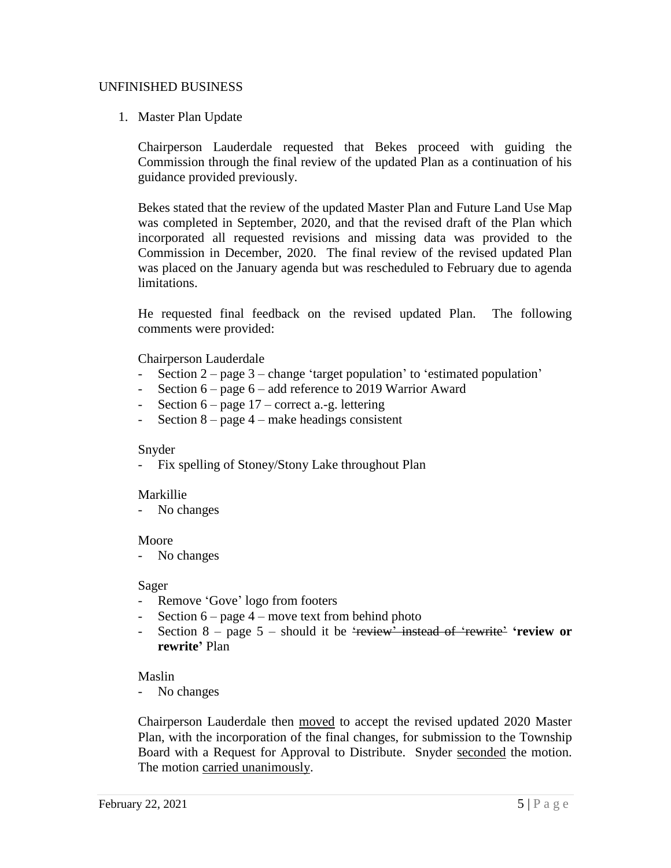### UNFINISHED BUSINESS

1. Master Plan Update

Chairperson Lauderdale requested that Bekes proceed with guiding the Commission through the final review of the updated Plan as a continuation of his guidance provided previously.

Bekes stated that the review of the updated Master Plan and Future Land Use Map was completed in September, 2020, and that the revised draft of the Plan which incorporated all requested revisions and missing data was provided to the Commission in December, 2020. The final review of the revised updated Plan was placed on the January agenda but was rescheduled to February due to agenda limitations.

He requested final feedback on the revised updated Plan. The following comments were provided:

### Chairperson Lauderdale

- Section  $2$  page  $3$  change 'target population' to 'estimated population'
- Section 6 page 6 add reference to 2019 Warrior Award
- Section  $6$  page  $17$  correct a.-g. lettering
- Section 8 page 4 make headings consistent

#### Snyder

- Fix spelling of Stoney/Stony Lake throughout Plan

#### Markillie

- No changes

#### Moore

- No changes

#### Sager

- Remove 'Gove' logo from footers
- Section  $6 page 4 move text from behind photo$
- Section  $8$  page  $5$  should it be 'review' instead of 'rewrite' 'review or **rewrite'** Plan

#### Maslin

No changes

Chairperson Lauderdale then moved to accept the revised updated 2020 Master Plan, with the incorporation of the final changes, for submission to the Township Board with a Request for Approval to Distribute. Snyder seconded the motion. The motion carried unanimously.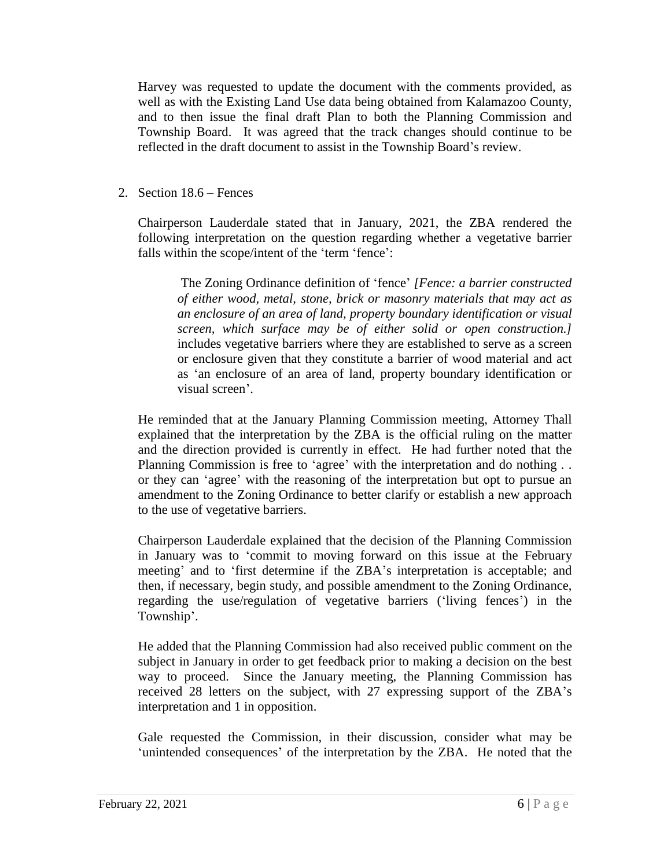Harvey was requested to update the document with the comments provided, as well as with the Existing Land Use data being obtained from Kalamazoo County, and to then issue the final draft Plan to both the Planning Commission and Township Board. It was agreed that the track changes should continue to be reflected in the draft document to assist in the Township Board's review.

2. Section 18.6 – Fences

Chairperson Lauderdale stated that in January, 2021, the ZBA rendered the following interpretation on the question regarding whether a vegetative barrier falls within the scope/intent of the 'term 'fence':

The Zoning Ordinance definition of 'fence' *[Fence: a barrier constructed of either wood, metal, stone, brick or masonry materials that may act as an enclosure of an area of land, property boundary identification or visual screen, which surface may be of either solid or open construction.]* includes vegetative barriers where they are established to serve as a screen or enclosure given that they constitute a barrier of wood material and act as 'an enclosure of an area of land, property boundary identification or visual screen'.

He reminded that at the January Planning Commission meeting, Attorney Thall explained that the interpretation by the ZBA is the official ruling on the matter and the direction provided is currently in effect. He had further noted that the Planning Commission is free to 'agree' with the interpretation and do nothing . . or they can 'agree' with the reasoning of the interpretation but opt to pursue an amendment to the Zoning Ordinance to better clarify or establish a new approach to the use of vegetative barriers.

Chairperson Lauderdale explained that the decision of the Planning Commission in January was to 'commit to moving forward on this issue at the February meeting' and to 'first determine if the ZBA's interpretation is acceptable; and then, if necessary, begin study, and possible amendment to the Zoning Ordinance, regarding the use/regulation of vegetative barriers ('living fences') in the Township'.

He added that the Planning Commission had also received public comment on the subject in January in order to get feedback prior to making a decision on the best way to proceed. Since the January meeting, the Planning Commission has received 28 letters on the subject, with 27 expressing support of the ZBA's interpretation and 1 in opposition.

Gale requested the Commission, in their discussion, consider what may be 'unintended consequences' of the interpretation by the ZBA. He noted that the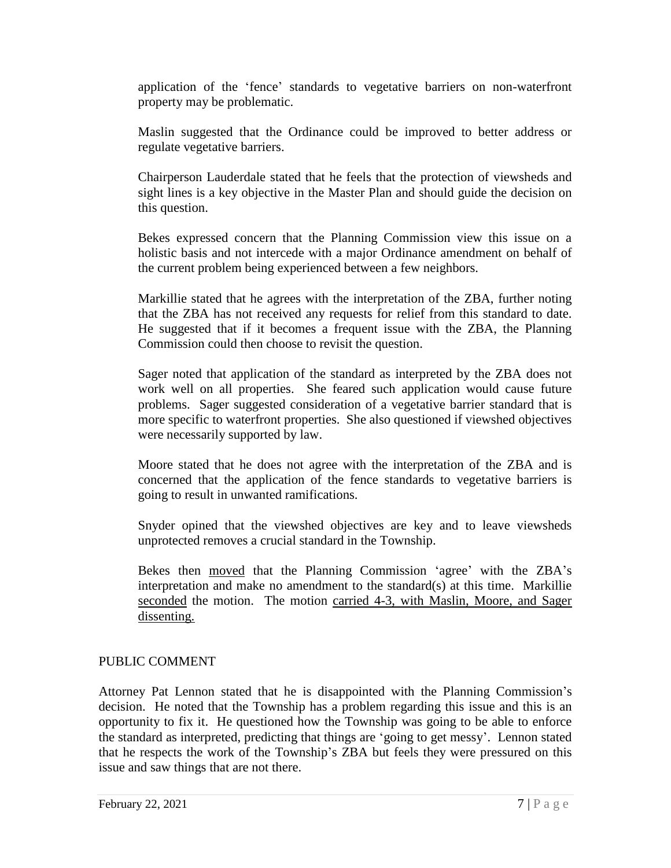application of the 'fence' standards to vegetative barriers on non-waterfront property may be problematic.

Maslin suggested that the Ordinance could be improved to better address or regulate vegetative barriers.

Chairperson Lauderdale stated that he feels that the protection of viewsheds and sight lines is a key objective in the Master Plan and should guide the decision on this question.

Bekes expressed concern that the Planning Commission view this issue on a holistic basis and not intercede with a major Ordinance amendment on behalf of the current problem being experienced between a few neighbors.

Markillie stated that he agrees with the interpretation of the ZBA, further noting that the ZBA has not received any requests for relief from this standard to date. He suggested that if it becomes a frequent issue with the ZBA, the Planning Commission could then choose to revisit the question.

Sager noted that application of the standard as interpreted by the ZBA does not work well on all properties. She feared such application would cause future problems. Sager suggested consideration of a vegetative barrier standard that is more specific to waterfront properties. She also questioned if viewshed objectives were necessarily supported by law.

Moore stated that he does not agree with the interpretation of the ZBA and is concerned that the application of the fence standards to vegetative barriers is going to result in unwanted ramifications.

Snyder opined that the viewshed objectives are key and to leave viewsheds unprotected removes a crucial standard in the Township.

Bekes then moved that the Planning Commission 'agree' with the ZBA's interpretation and make no amendment to the standard(s) at this time. Markillie seconded the motion. The motion carried 4-3, with Maslin, Moore, and Sager dissenting.

# PUBLIC COMMENT

Attorney Pat Lennon stated that he is disappointed with the Planning Commission's decision. He noted that the Township has a problem regarding this issue and this is an opportunity to fix it. He questioned how the Township was going to be able to enforce the standard as interpreted, predicting that things are 'going to get messy'. Lennon stated that he respects the work of the Township's ZBA but feels they were pressured on this issue and saw things that are not there.